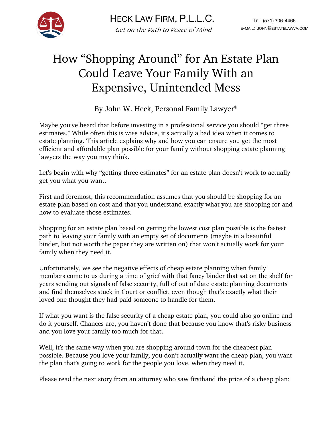

## How "Shopping Around" for An Estate Plan Could Leave Your Family With an Expensive, Unintended Mess

By John W. Heck, Personal Family Lawyer®

Maybe you've heard that before investing in a professional service you should "get three estimates." While often this is wise advice, it's actually a bad idea when it comes to estate planning. This article explains why and how you can ensure you get the most efficient and affordable plan possible for your family without shopping estate planning lawyers the way you may think.

Let's begin with why "getting three estimates" for an estate plan doesn't work to actually get you what you want.

First and foremost, this recommendation assumes that you should be shopping for an estate plan based on cost and that you understand exactly what you are shopping for and how to evaluate those estimates.

Shopping for an estate plan based on getting the lowest cost plan possible is the fastest path to leaving your family with an empty set of documents (maybe in a beautiful binder, but not worth the paper they are written on) that won't actually work for your family when they need it.

Unfortunately, we see the negative effects of cheap estate planning when family members come to us during a time of grief with that fancy binder that sat on the shelf for years sending out signals of false security, full of out of date estate planning documents and find themselves stuck in Court or conflict, even though that's exactly what their loved one thought they had paid someone to handle for them.

If what you want is the false security of a cheap estate plan, you could also go online and do it yourself. Chances are, you haven't done that because you know that's risky business and you love your family too much for that.

Well, it's the same way when you are shopping around town for the cheapest plan possible. Because you love your family, you don't actually want the cheap plan, you want the plan that's going to work for the people you love, when they need it.

Please read the next story from an attorney who saw firsthand the price of a cheap plan: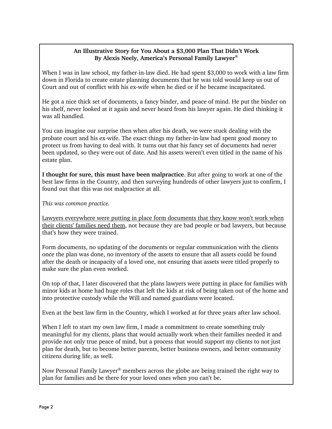## **An Illustrative Story for You About a \$3,000 Plan That Didn't Work By Alexis Neely, America's Personal Family Lawyer®**

When I was in law school, my father-in-law died. He had spent \$3,000 to work with a law firm down in Florida to create estate planning documents that he was told would keep us out of Court and out of conflict with his ex-wife when he died or if he became incapacitated.

He got a nice thick set of documents, a fancy binder, and peace of mind. He put the binder on his shelf, never looked at it again and never heard from his lawyer again. He died thinking it was all handled.

You can imagine our surprise then when after his death, we were stuck dealing with the probate court and his ex-wife. The exact things my father-in-law had spent good money to protect us from having to deal with. It turns out that his fancy set of documents had never been updated, so they were out of date. And his assets weren't even titled in the name of his estate plan.

**I thought for sure, this must have been malpractice**. But after going to work at one of the best law firms in the Country, and then surveying hundreds of other lawyers just to confirm, I found out that this was not malpractice at all.

*This was common practice.*

Lawyers everywhere were putting in place form documents that they know won't work when their clients' families need them, not because they are bad people or bad lawyers, but because that's how they were trained.

Form documents, no updating of the documents or regular communication with the clients once the plan was done, no inventory of the assets to ensure that all assets could be found after the death or incapacity of a loved one, not ensuring that assets were titled properly to make sure the plan even worked.

On top of that, I later discovered that the plans lawyers were putting in place for families with minor kids at home had huge roles that left the kids at risk of being taken out of the home and into protective custody while the Will and named guardians were located.

Even at the best law firm in the Country, which I worked at for three years after law school.

When I left to start my own law firm, I made a commitment to create something truly meaningful for my clients, plans that would actually work when their families needed it and provide not only true peace of mind, but a process that would support my clients to not just plan for death, but to become better parents, better business owners, and better community citizens during life, as well.

Now Personal Family Lawyer<sup>®</sup> members across the globe are being trained the right way to plan for families and be there for your loved ones when you can't be.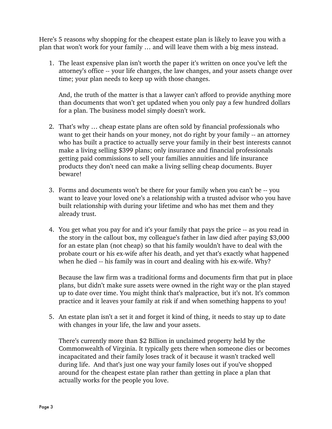Here's 5 reasons why shopping for the cheapest estate plan is likely to leave you with a plan that won't work for your family … and will leave them with a big mess instead.

1. The least expensive plan isn't worth the paper it's written on once you've left the attorney's office -- your life changes, the law changes, and your assets change over time; your plan needs to keep up with those changes.

And, the truth of the matter is that a lawyer can't afford to provide anything more than documents that won't get updated when you only pay a few hundred dollars for a plan. The business model simply doesn't work.

- 2. That's why … cheap estate plans are often sold by financial professionals who want to get their hands on your money, not do right by your family -- an attorney who has built a practice to actually serve your family in their best interests cannot make a living selling \$399 plans; only insurance and financial professionals getting paid commissions to sell your families annuities and life insurance products they don't need can make a living selling cheap documents. Buyer beware!
- 3. Forms and documents won't be there for your family when you can't be -- you want to leave your loved one's a relationship with a trusted advisor who you have built relationship with during your lifetime and who has met them and they already trust.
- 4. You get what you pay for and it's your family that pays the price -- as you read in the story in the callout box, my colleague's father in law died after paying \$3,000 for an estate plan (not cheap) so that his family wouldn't have to deal with the probate court or his ex-wife after his death, and yet that's exactly what happened when he died -- his family was in court and dealing with his ex-wife. Why?

Because the law firm was a traditional forms and documents firm that put in place plans, but didn't make sure assets were owned in the right way or the plan stayed up to date over time. You might think that's malpractice, but it's not. It's common practice and it leaves your family at risk if and when something happens to you!

5. An estate plan isn't a set it and forget it kind of thing, it needs to stay up to date with changes in your life, the law and your assets.

There's currently more than \$2 Billion in unclaimed property held by the Commonwealth of Virginia. It typically gets there when someone dies or becomes incapacitated and their family loses track of it because it wasn't tracked well during life. And that's just one way your family loses out if you've shopped around for the cheapest estate plan rather than getting in place a plan that actually works for the people you love.